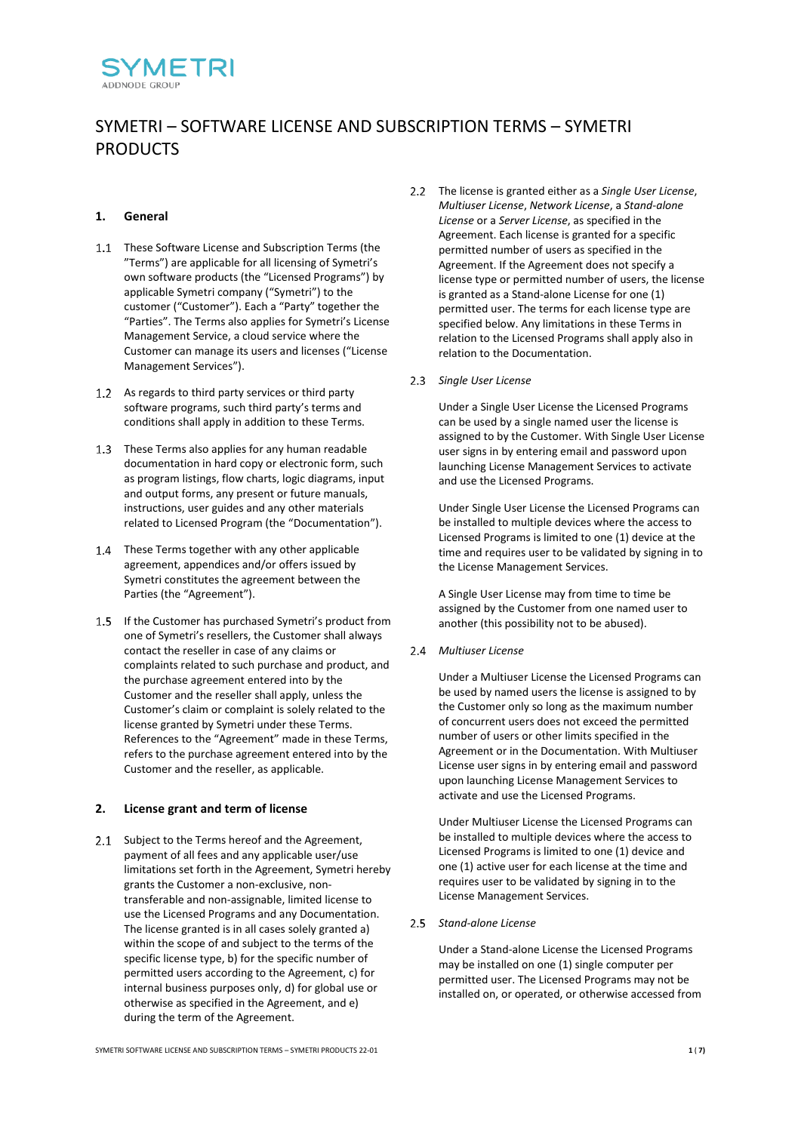

# SYMETRI – SOFTWARE LICENSE AND SUBSCRIPTION TERMS – SYMETRI PRODUCTS

## **1. General**

- 1.1 These Software License and Subscription Terms (the "Terms") are applicable for all licensing of Symetri's own software products (the "Licensed Programs") by applicable Symetri company ("Symetri") to the customer ("Customer"). Each a "Party" together the "Parties". The Terms also applies for Symetri's License Management Service, a cloud service where the Customer can manage its users and licenses ("License Management Services").
- 1.2 As regards to third party services or third party software programs, such third party's terms and conditions shall apply in addition to these Terms.
- 1.3 These Terms also applies for any human readable documentation in hard copy or electronic form, such as program listings, flow charts, logic diagrams, input and output forms, any present or future manuals, instructions, user guides and any other materials related to Licensed Program (the "Documentation").
- 1.4 These Terms together with any other applicable agreement, appendices and/or offers issued by Symetri constitutes the agreement between the Parties (the "Agreement").
- 1.5 If the Customer has purchased Symetri's product from one of Symetri's resellers, the Customer shall always contact the reseller in case of any claims or complaints related to such purchase and product, and the purchase agreement entered into by the Customer and the reseller shall apply, unless the Customer's claim or complaint is solely related to the license granted by Symetri under these Terms. References to the "Agreement" made in these Terms, refers to the purchase agreement entered into by the Customer and the reseller, as applicable.

#### **2. License grant and term of license**

2.1 Subject to the Terms hereof and the Agreement, payment of all fees and any applicable user/use limitations set forth in the Agreement, Symetri hereby grants the Customer a non-exclusive, nontransferable and non-assignable, limited license to use the Licensed Programs and any Documentation. The license granted is in all cases solely granted a) within the scope of and subject to the terms of the specific license type, b) for the specific number of permitted users according to the Agreement, c) for internal business purposes only, d) for global use or otherwise as specified in the Agreement, and e) during the term of the Agreement.

- The license is granted either as a *Single User License*, *Multiuser License*, *Network License*, a *Stand-alone License* or a *Server License*, as specified in the Agreement. Each license is granted for a specific permitted number of users as specified in the Agreement. If the Agreement does not specify a license type or permitted number of users, the license is granted as a Stand-alone License for one (1) permitted user. The terms for each license type are specified below. Any limitations in these Terms in relation to the Licensed Programs shall apply also in relation to the Documentation.
- *Single User License*

Under a Single User License the Licensed Programs can be used by a single named user the license is assigned to by the Customer. With Single User License user signs in by entering email and password upon launching License Management Services to activate and use the Licensed Programs.

Under Single User License the Licensed Programs can be installed to multiple devices where the access to Licensed Programs is limited to one (1) device at the time and requires user to be validated by signing in to the License Management Services.

A Single User License may from time to time be assigned by the Customer from one named user to another (this possibility not to be abused).

*Multiuser License*

Under a Multiuser License the Licensed Programs can be used by named users the license is assigned to by the Customer only so long as the maximum number of concurrent users does not exceed the permitted number of users or other limits specified in the Agreement or in the Documentation. With Multiuser License user signs in by entering email and password upon launching License Management Services to activate and use the Licensed Programs.

Under Multiuser License the Licensed Programs can be installed to multiple devices where the access to Licensed Programs is limited to one (1) device and one (1) active user for each license at the time and requires user to be validated by signing in to the License Management Services.

*Stand-alone License*

Under a Stand-alone License the Licensed Programs may be installed on one (1) single computer per permitted user. The Licensed Programs may not be installed on, or operated, or otherwise accessed from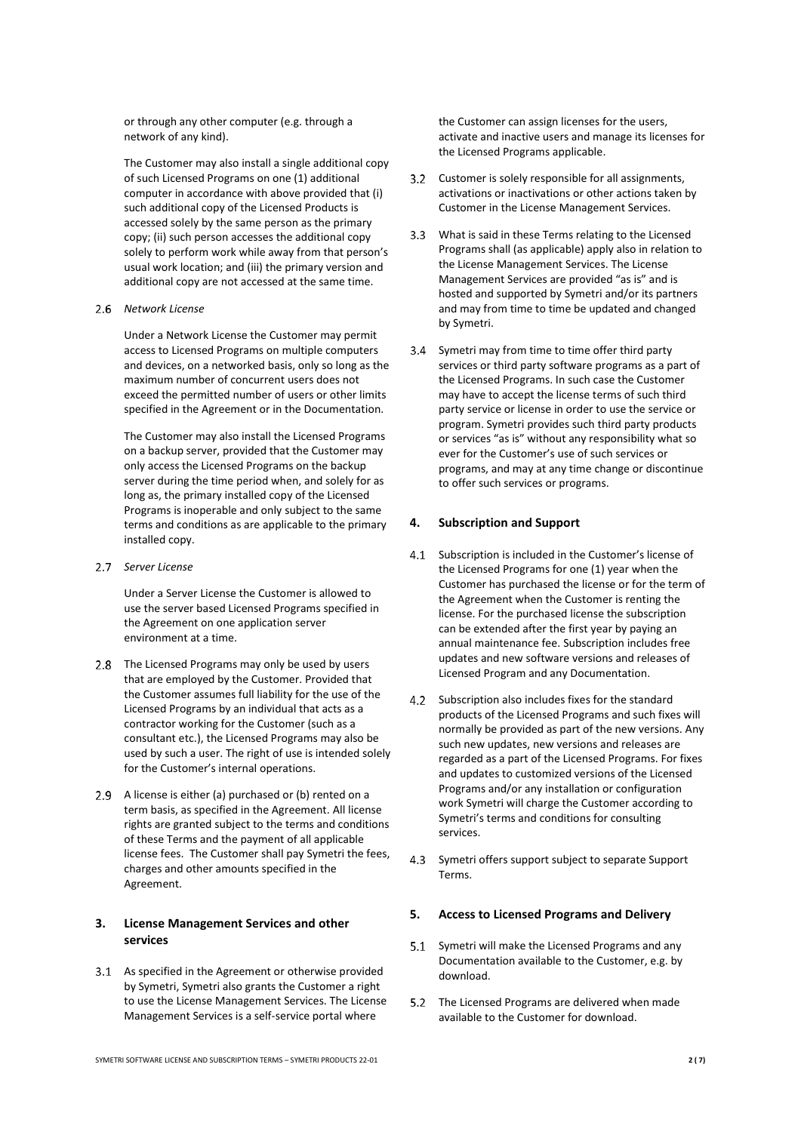or through any other computer (e.g. through a network of any kind).

The Customer may also install a single additional copy of such Licensed Programs on one (1) additional computer in accordance with above provided that (i) such additional copy of the Licensed Products is accessed solely by the same person as the primary copy; (ii) such person accesses the additional copy solely to perform work while away from that person's usual work location; and (iii) the primary version and additional copy are not accessed at the same time.

#### *Network License*

Under a Network License the Customer may permit access to Licensed Programs on multiple computers and devices, on a networked basis, only so long as the maximum number of concurrent users does not exceed the permitted number of users or other limits specified in the Agreement or in the Documentation.

The Customer may also install the Licensed Programs on a backup server, provided that the Customer may only access the Licensed Programs on the backup server during the time period when, and solely for as long as, the primary installed copy of the Licensed Programs is inoperable and only subject to the same terms and conditions as are applicable to the primary installed copy.

*Server License*

Under a Server License the Customer is allowed to use the server based Licensed Programs specified in the Agreement on one application server environment at a time.

- 2.8 The Licensed Programs may only be used by users that are employed by the Customer. Provided that the Customer assumes full liability for the use of the Licensed Programs by an individual that acts as a contractor working for the Customer (such as a consultant etc.), the Licensed Programs may also be used by such a user. The right of use is intended solely for the Customer's internal operations.
- 2.9 A license is either (a) purchased or (b) rented on a term basis, as specified in the Agreement. All license rights are granted subject to the terms and conditions of these Terms and the payment of all applicable license fees. The Customer shall pay Symetri the fees, charges and other amounts specified in the Agreement.

# <span id="page-1-0"></span>**3. License Management Services and other services**

3.1 As specified in the Agreement or otherwise provided by Symetri, Symetri also grants the Customer a right to use the License Management Services. The License Management Services is a self-service portal where

the Customer can assign licenses for the users, activate and inactive users and manage its licenses for the Licensed Programs applicable.

- 3.2 Customer is solely responsible for all assignments, activations or inactivations or other actions taken by Customer in the License Management Services.
- What is said in these Terms relating to the Licensed Programs shall (as applicable) apply also in relation to the License Management Services. The License Management Services are provided "as is" and is hosted and supported by Symetri and/or its partners and may from time to time be updated and changed by Symetri.
- Symetri may from time to time offer third party services or third party software programs as a part of the Licensed Programs. In such case the Customer may have to accept the license terms of such third party service or license in order to use the service or program. Symetri provides such third party products or services "as is" without any responsibility what so ever for the Customer's use of such services or programs, and may at any time change or discontinue to offer such services or programs.

## **4. Subscription and Support**

- 4.1 Subscription is included in the Customer's license of the Licensed Programs for one (1) year when the Customer has purchased the license or for the term of the Agreement when the Customer is renting the license. For the purchased license the subscription can be extended after the first year by paying an annual maintenance fee. Subscription includes free updates and new software versions and releases of Licensed Program and any Documentation.
- 4.2 Subscription also includes fixes for the standard products of the Licensed Programs and such fixes will normally be provided as part of the new versions. Any such new updates, new versions and releases are regarded as a part of the Licensed Programs. For fixes and updates to customized versions of the Licensed Programs and/or any installation or configuration work Symetri will charge the Customer according to Symetri's terms and conditions for consulting services.
- 4.3 Symetri offers support subject to separate Support Terms.

#### **5. Access to Licensed Programs and Delivery**

- Symetri will make the Licensed Programs and any Documentation available to the Customer, e.g. by download.
- 5.2 The Licensed Programs are delivered when made available to the Customer for download.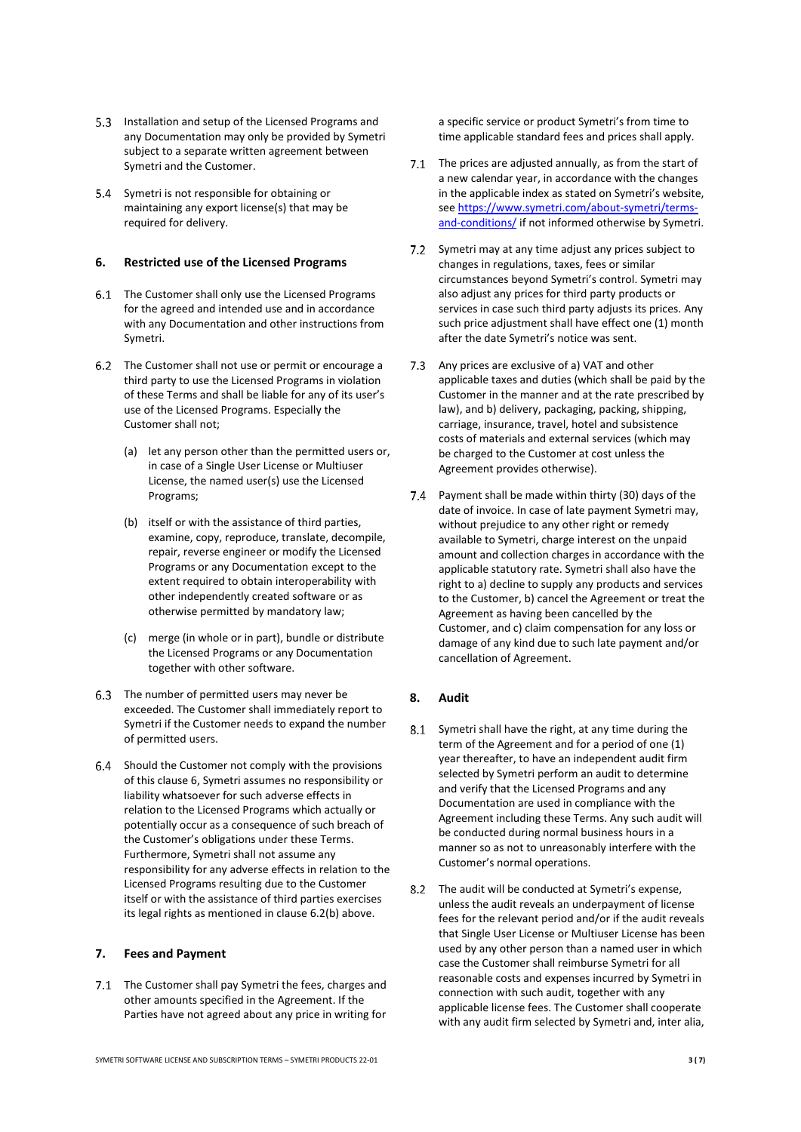- 5.3 Installation and setup of the Licensed Programs and any Documentation may only be provided by Symetri subject to a separate written agreement between Symetri and the Customer.
- Symetri is not responsible for obtaining or maintaining any export license(s) that may be required for delivery.

#### <span id="page-2-0"></span>**6. Restricted use of the Licensed Programs**

- 6.1 The Customer shall only use the Licensed Programs for the agreed and intended use and in accordance with any Documentation and other instructions from Symetri.
- <span id="page-2-2"></span><span id="page-2-1"></span>The Customer shall not use or permit or encourage a third party to use the Licensed Programs in violation of these Terms and shall be liable for any of its user's use of the Licensed Programs. Especially the Customer shall not;
	- (a) let any person other than the permitted users or, in case of a Single User License or Multiuser License, the named user(s) use the Licensed Programs;
	- (b) itself or with the assistance of third parties, examine, copy, reproduce, translate, decompile, repair, reverse engineer or modify the Licensed Programs or any Documentation except to the extent required to obtain interoperability with other independently created software or as otherwise permitted by mandatory law;
	- (c) merge (in whole or in part), bundle or distribute the Licensed Programs or any Documentation together with other software.
- The number of permitted users may never be exceeded. The Customer shall immediately report to Symetri if the Customer needs to expand the number of permitted users.
- 6.4 Should the Customer not comply with the provisions of this clause [6,](#page-2-0) Symetri assumes no responsibility or liability whatsoever for such adverse effects in relation to the Licensed Programs which actually or potentially occur as a consequence of such breach of the Customer's obligations under these Terms. Furthermore, Symetri shall not assume any responsibility for any adverse effects in relation to the Licensed Programs resulting due to the Customer itself or with the assistance of third parties exercises its legal rights as mentioned in claus[e 6.2](#page-2-1)[\(b\)](#page-2-2) above.

#### **7. Fees and Payment**

7.1 The Customer shall pay Symetri the fees, charges and other amounts specified in the Agreement. If the Parties have not agreed about any price in writing for a specific service or product Symetri's from time to time applicable standard fees and prices shall apply.

- 7.1 The prices are adjusted annually, as from the start of a new calendar year, in accordance with the changes in the applicable index as stated on Symetri's website, se[e https://www.symetri.com/about-symetri/terms](https://www.symetri.com/about-symetri/terms-and-conditions/)[and-conditions/](https://www.symetri.com/about-symetri/terms-and-conditions/) if not informed otherwise by Symetri.
- 7.2 Symetri may at any time adjust any prices subject to changes in regulations, taxes, fees or similar circumstances beyond Symetri's control. Symetri may also adjust any prices for third party products or services in case such third party adjusts its prices. Any such price adjustment shall have effect one (1) month after the date Symetri's notice was sent.
- 7.3 Any prices are exclusive of a) VAT and other applicable taxes and duties (which shall be paid by the Customer in the manner and at the rate prescribed by law), and b) delivery, packaging, packing, shipping, carriage, insurance, travel, hotel and subsistence costs of materials and external services (which may be charged to the Customer at cost unless the Agreement provides otherwise).
- Payment shall be made within thirty (30) days of the date of invoice. In case of late payment Symetri may, without prejudice to any other right or remedy available to Symetri, charge interest on the unpaid amount and collection charges in accordance with the applicable statutory rate. Symetri shall also have the right to a) decline to supply any products and services to the Customer, b) cancel the Agreement or treat the Agreement as having been cancelled by the Customer, and c) claim compensation for any loss or damage of any kind due to such late payment and/or cancellation of Agreement.

# **8. Audit**

- Symetri shall have the right, at any time during the term of the Agreement and for a period of one (1) year thereafter, to have an independent audit firm selected by Symetri perform an audit to determine and verify that the Licensed Programs and any Documentation are used in compliance with the Agreement including these Terms. Any such audit will be conducted during normal business hours in a manner so as not to unreasonably interfere with the Customer's normal operations.
- 8.2 The audit will be conducted at Symetri's expense, unless the audit reveals an underpayment of license fees for the relevant period and/or if the audit reveals that Single User License or Multiuser License has been used by any other person than a named user in which case the Customer shall reimburse Symetri for all reasonable costs and expenses incurred by Symetri in connection with such audit, together with any applicable license fees. The Customer shall cooperate with any audit firm selected by Symetri and, inter alia,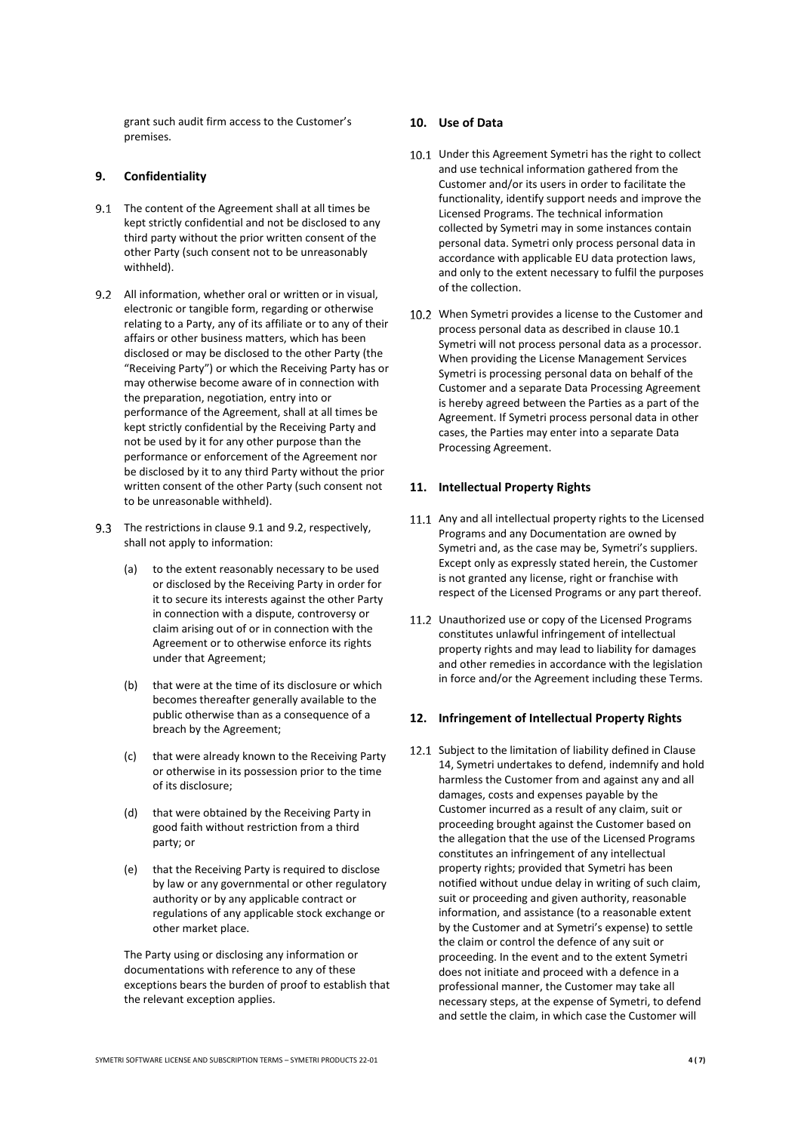grant such audit firm access to the Customer's premises.

#### <span id="page-3-4"></span>**9. Confidentiality**

- <span id="page-3-0"></span>9.1 The content of the Agreement shall at all times be kept strictly confidential and not be disclosed to any third party without the prior written consent of the other Party (such consent not to be unreasonably withheld).
- <span id="page-3-1"></span>9.2 All information, whether oral or written or in visual, electronic or tangible form, regarding or otherwise relating to a Party, any of its affiliate or to any of their affairs or other business matters, which has been disclosed or may be disclosed to the other Party (the "Receiving Party") or which the Receiving Party has or may otherwise become aware of in connection with the preparation, negotiation, entry into or performance of the Agreement, shall at all times be kept strictly confidential by the Receiving Party and not be used by it for any other purpose than the performance or enforcement of the Agreement nor be disclosed by it to any third Party without the prior written consent of the other Party (such consent not to be unreasonable withheld).
- 9.3 The restrictions in clause [9.1](#page-3-0) an[d 9.2,](#page-3-1) respectively, shall not apply to information:
	- (a) to the extent reasonably necessary to be used or disclosed by the Receiving Party in order for it to secure its interests against the other Party in connection with a dispute, controversy or claim arising out of or in connection with the Agreement or to otherwise enforce its rights under that Agreement;
	- (b) that were at the time of its disclosure or which becomes thereafter generally available to the public otherwise than as a consequence of a breach by the Agreement;
	- (c) that were already known to the Receiving Party or otherwise in its possession prior to the time of its disclosure;
	- (d) that were obtained by the Receiving Party in good faith without restriction from a third party; or
	- (e) that the Receiving Party is required to disclose by law or any governmental or other regulatory authority or by any applicable contract or regulations of any applicable stock exchange or other market place.

The Party using or disclosing any information or documentations with reference to any of these exceptions bears the burden of proof to establish that the relevant exception applies.

#### **10. Use of Data**

- <span id="page-3-2"></span>10.1 Under this Agreement Symetri has the right to collect and use technical information gathered from the Customer and/or its users in order to facilitate the functionality, identify support needs and improve the Licensed Programs. The technical information collected by Symetri may in some instances contain personal data. Symetri only process personal data in accordance with applicable EU data protection laws, and only to the extent necessary to fulfil the purposes of the collection.
- 10.2 When Symetri provides a license to the Customer and process personal data as described in claus[e 10.1](#page-3-2) Symetri will not process personal data as a processor. When providing the License Management Services Symetri is processing personal data on behalf of the Customer and a separate Data Processing Agreement is hereby agreed between the Parties as a part of the Agreement. If Symetri process personal data in other cases, the Parties may enter into a separate Data Processing Agreement.

## **11. Intellectual Property Rights**

- 11.1 Any and all intellectual property rights to the Licensed Programs and any Documentation are owned by Symetri and, as the case may be, Symetri's suppliers. Except only as expressly stated herein, the Customer is not granted any license, right or franchise with respect of the Licensed Programs or any part thereof.
- 11.2 Unauthorized use or copy of the Licensed Programs constitutes unlawful infringement of intellectual property rights and may lead to liability for damages and other remedies in accordance with the legislation in force and/or the Agreement including these Terms.

#### **12. Infringement of Intellectual Property Rights**

<span id="page-3-3"></span>12.1 Subject to the limitation of liability defined in Clause [14,](#page-5-0) Symetri undertakes to defend, indemnify and hold harmless the Customer from and against any and all damages, costs and expenses payable by the Customer incurred as a result of any claim, suit or proceeding brought against the Customer based on the allegation that the use of the Licensed Programs constitutes an infringement of any intellectual property rights; provided that Symetri has been notified without undue delay in writing of such claim, suit or proceeding and given authority, reasonable information, and assistance (to a reasonable extent by the Customer and at Symetri's expense) to settle the claim or control the defence of any suit or proceeding. In the event and to the extent Symetri does not initiate and proceed with a defence in a professional manner, the Customer may take all necessary steps, at the expense of Symetri, to defend and settle the claim, in which case the Customer will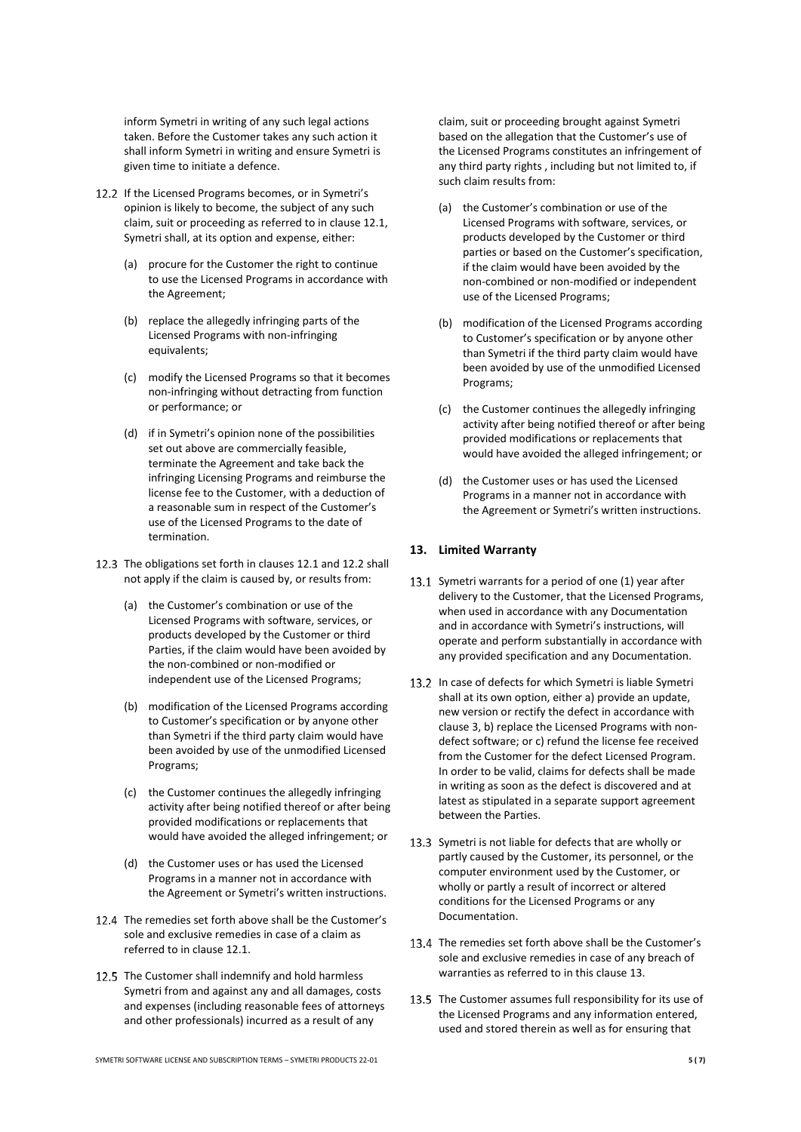inform Symetri in writing of any such legal actions taken. Before the Customer takes any such action it shall inform Symetri in writing and ensure Symetri is given time to initiate a defence.

- <span id="page-4-0"></span>12.2 If the Licensed Programs becomes, or in Symetri's opinion is likely to become, the subject of any such claim, suit or proceeding as referred to in clause [12.1,](#page-3-3) Symetri shall, at its option and expense, either:
	- (a) procure for the Customer the right to continue to use the Licensed Programs in accordance with the Agreement;
	- (b) replace the allegedly infringing parts of the Licensed Programs with non-infringing equivalents;
	- (c) modify the Licensed Programs so that it becomes non-infringing without detracting from function or performance; or
	- (d) if in Symetri's opinion none of the possibilities set out above are commercially feasible, terminate the Agreement and take back the infringing Licensing Programs and reimburse the license fee to the Customer, with a deduction of a reasonable sum in respect of the Customer's use of the Licensed Programs to the date of termination.
- 12.3 The obligations set forth in clauses [12.1](#page-3-3) an[d 12.2](#page-4-0) shall not apply if the claim is caused by, or results from:
	- (a) the Customer's combination or use of the Licensed Programs with software, services, or products developed by the Customer or third Parties, if the claim would have been avoided by the non-combined or non-modified or independent use of the Licensed Programs;
	- (b) modification of the Licensed Programs according to Customer's specification or by anyone other than Symetri if the third party claim would have been avoided by use of the unmodified Licensed Programs;
	- (c) the Customer continues the allegedly infringing activity after being notified thereof or after being provided modifications or replacements that would have avoided the alleged infringement; or
	- (d) the Customer uses or has used the Licensed Programs in a manner not in accordance with the Agreement or Symetri's written instructions.
- 12.4 The remedies set forth above shall be the Customer's sole and exclusive remedies in case of a claim as referred to in clause [12.1.](#page-3-3)
- 12.5 The Customer shall indemnify and hold harmless Symetri from and against any and all damages, costs and expenses (including reasonable fees of attorneys and other professionals) incurred as a result of any

claim, suit or proceeding brought against Symetri based on the allegation that the Customer's use of the Licensed Programs constitutes an infringement of any third party rights , including but not limited to, if such claim results from:

- (a) the Customer's combination or use of the Licensed Programs with software, services, or products developed by the Customer or third parties or based on the Customer's specification, if the claim would have been avoided by the non-combined or non-modified or independent use of the Licensed Programs;
- (b) modification of the Licensed Programs according to Customer's specification or by anyone other than Symetri if the third party claim would have been avoided by use of the unmodified Licensed Programs;
- (c) the Customer continues the allegedly infringing activity after being notified thereof or after being provided modifications or replacements that would have avoided the alleged infringement; or
- (d) the Customer uses or has used the Licensed Programs in a manner not in accordance with the Agreement or Symetri's written instructions.

#### <span id="page-4-1"></span>**13. Limited Warranty**

- 13.1 Symetri warrants for a period of one (1) year after delivery to the Customer, that the Licensed Programs, when used in accordance with any Documentation and in accordance with Symetri's instructions, will operate and perform substantially in accordance with any provided specification and any Documentation.
- 13.2 In case of defects for which Symetri is liable Symetri shall at its own option, either a) provide an update, new version or rectify the defect in accordance with clause [3,](#page-1-0) b) replace the Licensed Programs with nondefect software; or c) refund the license fee received from the Customer for the defect Licensed Program. In order to be valid, claims for defects shall be made in writing as soon as the defect is discovered and at latest as stipulated in a separate support agreement between the Parties.
- 13.3 Symetri is not liable for defects that are wholly or partly caused by the Customer, its personnel, or the computer environment used by the Customer, or wholly or partly a result of incorrect or altered conditions for the Licensed Programs or any Documentation.
- 13.4 The remedies set forth above shall be the Customer's sole and exclusive remedies in case of any breach of warranties as referred to in this claus[e 13.](#page-4-1)
- 13.5 The Customer assumes full responsibility for its use of the Licensed Programs and any information entered, used and stored therein as well as for ensuring that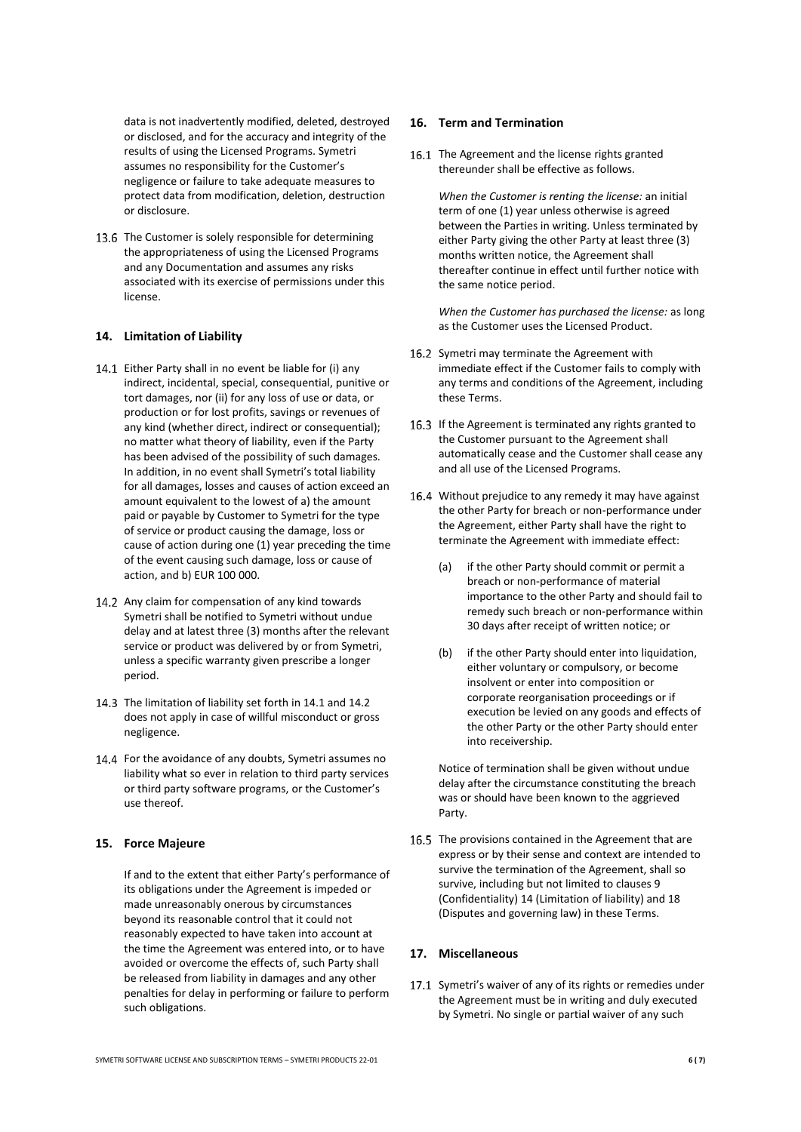data is not inadvertently modified, deleted, destroyed or disclosed, and for the accuracy and integrity of the results of using the Licensed Programs. Symetri assumes no responsibility for the Customer's negligence or failure to take adequate measures to protect data from modification, deletion, destruction or disclosure.

13.6 The Customer is solely responsible for determining the appropriateness of using the Licensed Programs and any Documentation and assumes any risks associated with its exercise of permissions under this license.

#### <span id="page-5-0"></span>**14. Limitation of Liability**

- <span id="page-5-1"></span>14.1 Either Party shall in no event be liable for (i) any indirect, incidental, special, consequential, punitive or tort damages, nor (ii) for any loss of use or data, or production or for lost profits, savings or revenues of any kind (whether direct, indirect or consequential); no matter what theory of liability, even if the Party has been advised of the possibility of such damages. In addition, in no event shall Symetri's total liability for all damages, losses and causes of action exceed an amount equivalent to the lowest of a) the amount paid or payable by Customer to Symetri for the type of service or product causing the damage, loss or cause of action during one (1) year preceding the time of the event causing such damage, loss or cause of action, and b) EUR 100 000.
- <span id="page-5-2"></span>14.2 Any claim for compensation of any kind towards Symetri shall be notified to Symetri without undue delay and at latest three (3) months after the relevant service or product was delivered by or from Symetri, unless a specific warranty given prescribe a longer period.
- 14.3 The limitation of liability set forth i[n 14.1](#page-5-1) an[d 14.2](#page-5-2) does not apply in case of willful misconduct or gross negligence.
- 14.4 For the avoidance of any doubts, Symetri assumes no liability what so ever in relation to third party services or third party software programs, or the Customer's use thereof.

# **15. Force Majeure**

If and to the extent that either Party's performance of its obligations under the Agreement is impeded or made unreasonably onerous by circumstances beyond its reasonable control that it could not reasonably expected to have taken into account at the time the Agreement was entered into, or to have avoided or overcome the effects of, such Party shall be released from liability in damages and any other penalties for delay in performing or failure to perform such obligations.

#### **16. Term and Termination**

16.1 The Agreement and the license rights granted thereunder shall be effective as follows.

> *When the Customer is renting the license:* an initial term of one (1) year unless otherwise is agreed between the Parties in writing. Unless terminated by either Party giving the other Party at least three (3) months written notice, the Agreement shall thereafter continue in effect until further notice with the same notice period.

*When the Customer has purchased the license:* as long as the Customer uses the Licensed Product.

- 16.2 Symetri may terminate the Agreement with immediate effect if the Customer fails to comply with any terms and conditions of the Agreement, including these Terms.
- 16.3 If the Agreement is terminated any rights granted to the Customer pursuant to the Agreement shall automatically cease and the Customer shall cease any and all use of the Licensed Programs.
- 16.4 Without prejudice to any remedy it may have against the other Party for breach or non-performance under the Agreement, either Party shall have the right to terminate the Agreement with immediate effect:
	- (a) if the other Party should commit or permit a breach or non-performance of material importance to the other Party and should fail to remedy such breach or non-performance within 30 days after receipt of written notice; or
	- (b) if the other Party should enter into liquidation, either voluntary or compulsory, or become insolvent or enter into composition or corporate reorganisation proceedings or if execution be levied on any goods and effects of the other Party or the other Party should enter into receivership.

Notice of termination shall be given without undue delay after the circumstance constituting the breach was or should have been known to the aggrieved Party.

16.5 The provisions contained in the Agreement that are express or by their sense and context are intended to survive the termination of the Agreement, shall so survive, including but not limited to clauses [9](#page-3-4) (Confidentiality) [14](#page-5-0) (Limitation of liability) an[d 18](#page-6-0) (Disputes and governing law) in these Terms.

# **17. Miscellaneous**

17.1 Symetri's waiver of any of its rights or remedies under the Agreement must be in writing and duly executed by Symetri. No single or partial waiver of any such